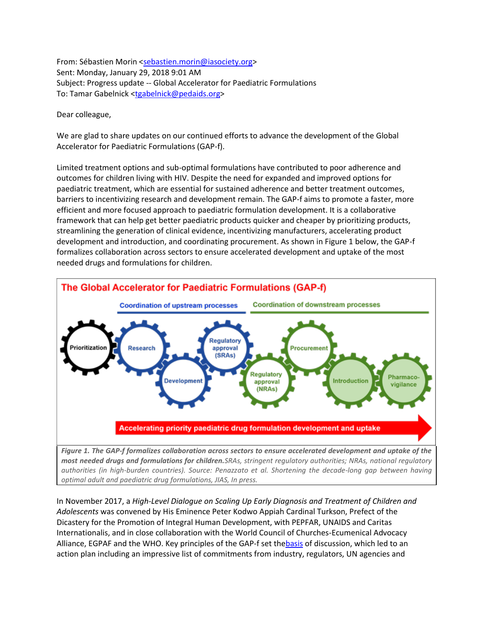From: Sébastien Morin [<sebastien.morin@iasociety.org>](mailto:sebastien.morin@iasociety.org) Sent: Monday, January 29, 2018 9:01 AM Subject: Progress update -- Global Accelerator for Paediatric Formulations To: Tamar Gabelnick [<tgabelnick@pedaids.org>](mailto:tgabelnick@pedaids.org)

Dear colleague,

We are glad to share updates on our continued efforts to advance the development of the Global Accelerator for Paediatric Formulations (GAP-f).

Limited treatment options and sub-optimal formulations have contributed to poor adherence and outcomes for children living with HIV. Despite the need for expanded and improved options for paediatric treatment, which are essential for sustained adherence and better treatment outcomes, barriers to incentivizing research and development remain. The GAP-f aims to promote a faster, more efficient and more focused approach to paediatric formulation development. It is a collaborative framework that can help get better paediatric products quicker and cheaper by prioritizing products, streamlining the generation of clinical evidence, incentivizing manufacturers, accelerating product development and introduction, and coordinating procurement. As shown in Figure 1 below, the GAP-f formalizes collaboration across sectors to ensure accelerated development and uptake of the most needed drugs and formulations for children.



*authorities (in high-burden countries). Source: Penazzato et al. Shortening the decade-long gap between having optimal adult and paediatric drug formulations, JIAS, In press.*

In November 2017, a *High-Level Dialogue on Scaling Up Early Diagnosis and Treatment of Children and Adolescents* was convened by His Eminence Peter Kodwo Appiah Cardinal Turkson, Prefect of the Dicastery for the Promotion of Integral Human Development, with PEPFAR, UNAIDS and Caritas Internationalis, and in close collaboration with the World Council of Churches-Ecumenical Advocacy Alliance, EGPAF and the WHO. Key principles of the GAP-f set th[ebasis](https://www.dropbox.com/s/q0pqvpp8eajekyr/GAP-f__2017-11-17__Vatican.pdf?dl=0) of discussion, which led to an action plan including an impressive list of commitments from industry, regulators, UN agencies and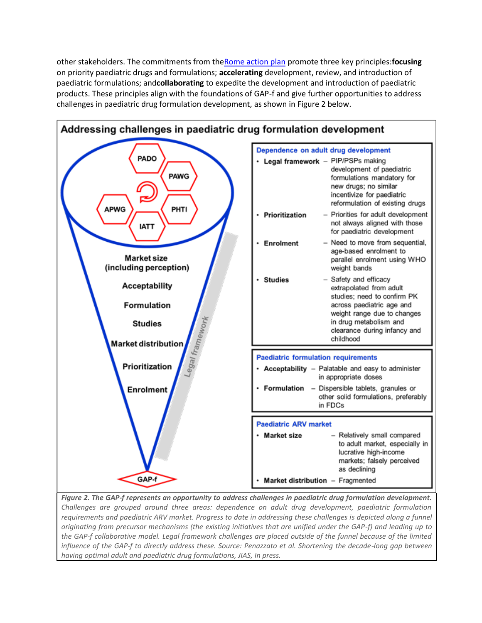other stakeholders. The commitments from th[eRome action plan](http://www.pedaids.org/page/-/Rome_Action_Plan_2017.pdf) promote three key principles:**focusing** on priority paediatric drugs and formulations; **accelerating** development, review, and introduction of paediatric formulations; and**collaborating** to expedite the development and introduction of paediatric products. These principles align with the foundations of GAP-f and give further opportunities to address challenges in paediatric drug formulation development, as shown in Figure 2 below.



*Figure 2. The GAP-f represents an opportunity to address challenges in paediatric drug formulation development. Challenges are grouped around three areas: dependence on adult drug development, paediatric formulation requirements and paediatric ARV market. Progress to date in addressing these challenges is depicted along a funnel originating from precursor mechanisms (the existing initiatives that are unified under the GAP-f) and leading up to the GAP-f collaborative model. Legal framework challenges are placed outside of the funnel because of the limited influence of the GAP-f to directly address these. Source: Penazzato et al. Shortening the decade-long gap between having optimal adult and paediatric drug formulations, JIAS, In press.*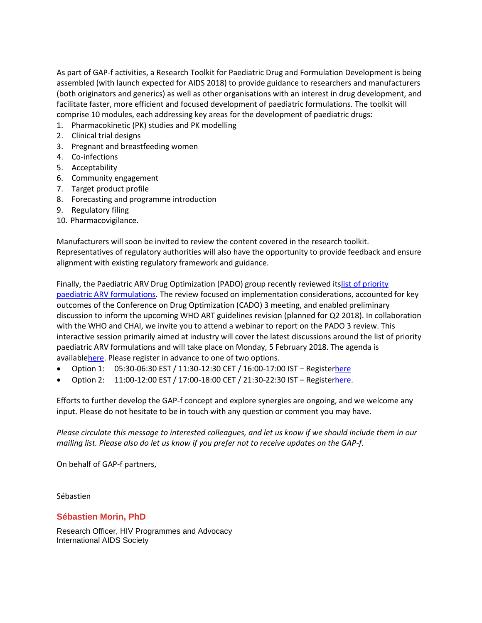As part of GAP-f activities, a Research Toolkit for Paediatric Drug and Formulation Development is being assembled (with launch expected for AIDS 2018) to provide guidance to researchers and manufacturers (both originators and generics) as well as other organisations with an interest in drug development, and facilitate faster, more efficient and focused development of paediatric formulations. The toolkit will comprise 10 modules, each addressing key areas for the development of paediatric drugs:

- 1. Pharmacokinetic (PK) studies and PK modelling
- 2. Clinical trial designs
- 3. Pregnant and breastfeeding women
- 4. Co-infections
- 5. Acceptability
- 6. Community engagement
- 7. Target product profile
- 8. Forecasting and programme introduction
- 9. Regulatory filing
- 10. Pharmacovigilance.

Manufacturers will soon be invited to review the content covered in the research toolkit. Representatives of regulatory authorities will also have the opportunity to provide feedback and ensure alignment with existing regulatory framework and guidance.

Finally, the Paediatric ARV Drug Optimization (PADO) group recently reviewed it[slist of priority](http://www.who.int/hiv/pub/meetingreports/paediatric-arv-optimization-pado3/en/)  [paediatric ARV formulations.](http://www.who.int/hiv/pub/meetingreports/paediatric-arv-optimization-pado3/en/) The review focused on implementation considerations, accounted for key outcomes of the Conference on Drug Optimization (CADO) 3 meeting, and enabled preliminary discussion to inform the upcoming WHO ART guidelines revision (planned for Q2 2018). In collaboration with the WHO and CHAI, we invite you to attend a webinar to report on the PADO 3 review. This interactive session primarily aimed at industry will cover the latest discussions around the list of priority paediatric ARV formulations and will take place on Monday, 5 February 2018. The agenda is availabl[ehere.](https://www.dropbox.com/s/zjwnpxesxw2l5bc/ILF__Report_back__PADO_3_review__Agenda.pdf?dl=0) Please register in advance to one of two options.

- Option 1: 05:30-06:30 EST / 11:30-12:30 CET / 16:00-17:00 IST Registe[rhere](https://iasociety.webex.com/iasociety/j.php?MTID=m62c5ee69aca3e8a6435bcdebf876b2ff)
- Option 2: 11:00-12:00 EST / 17:00-18:00 CET / 21:30-22:30 IST Registe[rhere.](https://iasociety.webex.com/iasociety/j.php?MTID=m96bd91d7ccb6ac65738ea85a4546629c)

Efforts to further develop the GAP-f concept and explore synergies are ongoing, and we welcome any input. Please do not hesitate to be in touch with any question or comment you may have.

*Please circulate this message to interested colleagues, and let us know if we should include them in our mailing list. Please also do let us know if you prefer not to receive updates on the GAP-f.*

On behalf of GAP-f partners,

Sébastien

## **Sébastien Morin, PhD**

Research Officer, HIV Programmes and Advocacy International AIDS Society